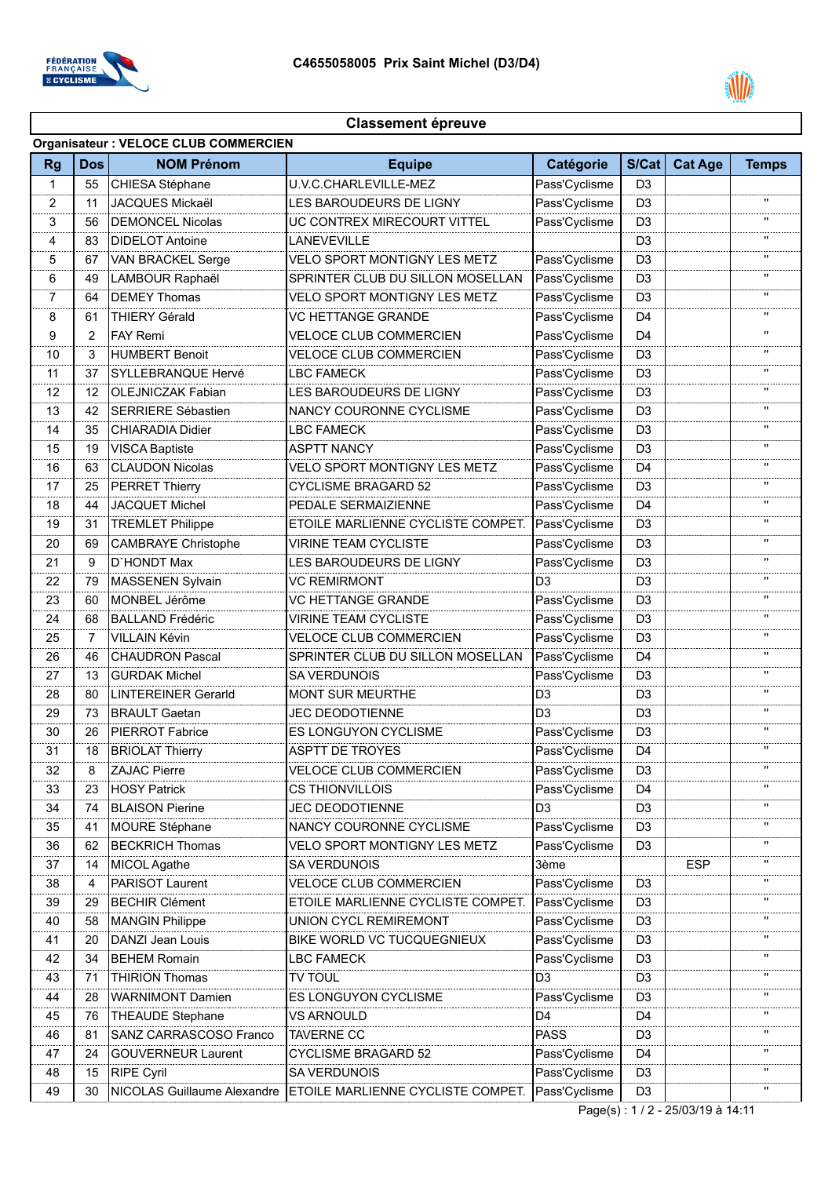



## **Classement épreuve**

| <b>Organisateur: VELOCE CLUB COMMERCIEN</b> |                |                                    |                                   |                |                |                                   |                |  |  |  |
|---------------------------------------------|----------------|------------------------------------|-----------------------------------|----------------|----------------|-----------------------------------|----------------|--|--|--|
| <b>Rg</b>                                   | <b>Dos</b>     | <b>NOM Prénom</b>                  | <b>Equipe</b>                     | Catégorie      | S/Cat          | <b>Cat Age</b>                    | <b>Temps</b>   |  |  |  |
| $\mathbf{1}$                                | 55             | CHIESA Stéphane                    | U.V.C.CHARLEVILLE-MEZ             | Pass'Cyclisme  | D <sub>3</sub> |                                   |                |  |  |  |
| 2                                           | 11             | JACQUES Mickaël                    | LES BAROUDEURS DE LIGNY           | Pass'Cyclisme  | D <sub>3</sub> |                                   | $\blacksquare$ |  |  |  |
| 3                                           | 56             | DEMONCEL Nicolas                   | UC CONTREX MIRECOURT VITTEL       | Pass'Cyclisme  | D <sub>3</sub> |                                   |                |  |  |  |
| 4                                           | 83             | DIDELOT Antoine                    | LANEVEVILLE                       |                | D <sub>3</sub> |                                   |                |  |  |  |
| 5                                           | 67             | VAN BRACKEL Serge                  | VELO SPORT MONTIGNY LES METZ      | Pass'Cyclisme  | D <sub>3</sub> |                                   | $\mathbf{H}$   |  |  |  |
| 6                                           | 49             | LAMBOUR Raphaël                    | SPRINTER CLUB DU SILLON MOSELLAN  | Pass'Cyclisme  | D <sub>3</sub> |                                   | $\mathbf{u}$   |  |  |  |
| 7                                           | 64             | <b>DEMEY Thomas</b>                | VELO SPORT MONTIGNY LES METZ      | Pass'Cyclisme  | D <sub>3</sub> |                                   | п              |  |  |  |
| 8                                           | 61             | <b>THIERY Gérald</b>               | VC HETTANGE GRANDE                | Pass'Cyclisme  | D4             |                                   | $\mathbf{H}$   |  |  |  |
| 9                                           | 2              | <b>FAY Remi</b>                    | <b>VELOCE CLUB COMMERCIEN</b>     | Pass'Cyclisme  | D <sub>4</sub> |                                   | $\mathbf{H}$   |  |  |  |
| 10                                          | 3              | <b>HUMBERT Benoit</b>              | VELOCE CLUB COMMERCIEN            | Pass'Cyclisme  | D <sub>3</sub> |                                   | $\blacksquare$ |  |  |  |
| 11                                          | 37             | SYLLEBRANQUE Hervé                 | <b>LBC FAMECK</b>                 | Pass'Cyclisme  | D <sub>3</sub> |                                   | п              |  |  |  |
| 12                                          | 12             | <b>OLEJNICZAK Fabian</b>           | LES BAROUDEURS DE LIGNY           | Pass'Cyclisme  | D3             |                                   |                |  |  |  |
| 13                                          | 42             | <b>SERRIERE Sébastien</b>          | NANCY COURONNE CYCLISME           | Pass'Cyclisme  | D <sub>3</sub> |                                   | $\mathbf{H}$   |  |  |  |
| 14                                          | 35             | CHIARADIA Didier                   | <b>LBC FAMECK</b>                 | Pass'Cyclisme  | D <sub>3</sub> |                                   | п              |  |  |  |
| 15                                          | 19             | <b>VISCA Baptiste</b>              | ASPTT NANCY                       | Pass'Cyclisme  | D3             |                                   |                |  |  |  |
| 16                                          | 63             | <b>CLAUDON Nicolas</b>             | VELO SPORT MONTIGNY LES METZ      | Pass'Cyclisme  | D4             |                                   |                |  |  |  |
| 17                                          | 25             | <b>PERRET Thierry</b>              | <b>CYCLISME BRAGARD 52</b>        | Pass'Cyclisme  | D <sub>3</sub> |                                   | $\mathbf{H}$   |  |  |  |
| 18                                          | 44             | <b>JACQUET Michel</b>              | PEDALE SERMAIZIENNE               | Pass'Cyclisme  | D <sub>4</sub> |                                   |                |  |  |  |
| 19                                          | 31             | <b>TREMLET Philippe</b>            | ETOILE MARLIENNE CYCLISTE COMPET. | Pass'Cyclisme  | D3             |                                   | $\mathbf{u}$   |  |  |  |
| 20                                          | 69             | <b>CAMBRAYE Christophe</b>         | VIRINE TEAM CYCLISTE              | Pass'Cyclisme  | D3             |                                   |                |  |  |  |
| 21                                          | 9              | D'HONDT Max                        | LES BAROUDEURS DE LIGNY           | Pass'Cyclisme  | D <sub>3</sub> |                                   | п              |  |  |  |
| 22                                          | 79             | MASSENEN Sylvain                   | <b>VC REMIRMONT</b>               | D <sub>3</sub> | D <sub>3</sub> |                                   |                |  |  |  |
| 23                                          | 60             | MONBEL Jérôme                      | VC HETTANGE GRANDE                | Pass'Cyclisme  | D <sub>3</sub> |                                   |                |  |  |  |
| 24                                          | 68             | <b>BALLAND Frédéric</b>            | VIRINE TEAM CYCLISTE              | Pass'Cyclisme  | D <sub>3</sub> |                                   | $\mathbf{H}$   |  |  |  |
| 25                                          | $\overline{7}$ | <b>VILLAIN Kévin</b>               | VELOCE CLUB COMMERCIEN            | Pass'Cyclisme  | D <sub>3</sub> |                                   | $\mathbf{u}$   |  |  |  |
| 26                                          | 46             | <b>CHAUDRON Pascal</b>             | SPRINTER CLUB DU SILLON MOSELLAN  | Pass'Cyclisme  | D <sub>4</sub> |                                   |                |  |  |  |
| 27                                          | 13             | <b>GURDAK Michel</b>               | <b>SA VERDUNOIS</b>               | Pass'Cyclisme  | D <sub>3</sub> |                                   |                |  |  |  |
| 28                                          | 80             | <b>LINTEREINER Gerarld</b>         | MONT SUR MEURTHE                  | D <sub>3</sub> | D <sub>3</sub> |                                   |                |  |  |  |
| 29                                          | 73             | <b>BRAULT Gaetan</b>               | <b>JEC DEODOTIENNE</b>            | D <sub>3</sub> | D <sub>3</sub> |                                   | $\mathbf{u}$   |  |  |  |
| 30                                          | 26             | <b>PIERROT Fabrice</b>             | ES LONGUYON CYCLISME              | Pass'Cyclisme  | D <sub>3</sub> |                                   |                |  |  |  |
| 31                                          | 18             | <b>BRIOLAT Thierry</b>             | ASPTT DE TROYES                   | Pass'Cyclisme  | D4             |                                   | п              |  |  |  |
| 32                                          | 8              | <b>ZAJAC Pierre</b>                | VELOCE CLUB COMMERCIEN            | Pass'Cyclisme  | D3             |                                   | п              |  |  |  |
| 33                                          | 23             | <b>HOSY Patrick</b>                | <b>CS THIONVILLOIS</b>            | Pass'Cyclisme  | D <sub>4</sub> |                                   |                |  |  |  |
| 34                                          | 74             | <b>BLAISON Pierine</b>             | <b>JEC DEODOTIENNE</b>            | D <sub>3</sub> | D <sub>3</sub> |                                   |                |  |  |  |
| 35                                          | 41             | MOURE Stéphane                     | NANCY COURONNE CYCLISME           | Pass'Cyclisme  | D3             |                                   |                |  |  |  |
| 36                                          | 62             | <b>BECKRICH Thomas</b>             | VELO SPORT MONTIGNY LES METZ      | Pass'Cyclisme  | D <sub>3</sub> |                                   |                |  |  |  |
| 37                                          | 14             | MICOL Agathe                       | SA VERDUNOIS                      | 3ème           |                | <b>ESP</b>                        | $\mathbf{u}$   |  |  |  |
| 38                                          | 4              | PARISOT Laurent                    | VELOCE CLUB COMMERCIEN            | Pass'Cyclisme  | D <sub>3</sub> |                                   |                |  |  |  |
| 39                                          | 29             | <b>BECHIR Clément</b>              | ETOILE MARLIENNE CYCLISTE COMPET. | Pass'Cyclisme  | D3             |                                   |                |  |  |  |
| 40                                          | 58             | <b>MANGIN Philippe</b>             | <b>UNION CYCL REMIREMONT</b>      | Pass'Cyclisme  | D <sub>3</sub> |                                   |                |  |  |  |
| 41                                          | 20             | DANZI Jean Louis                   | BIKE WORLD VC TUCQUEGNIEUX        | Pass'Cyclisme  | D <sub>3</sub> |                                   | $\mathbf{H}$   |  |  |  |
| 42                                          | 34             | <b>BEHEM Romain</b>                | <b>LBC FAMECK</b>                 | Pass'Cyclisme  | D <sub>3</sub> |                                   | п              |  |  |  |
| 43                                          | 71             | <b>THIRION Thomas</b>              | TV TOUL                           | D <sub>3</sub> | D <sub>3</sub> |                                   | п              |  |  |  |
| 44                                          | 28             | <b>WARNIMONT Damien</b>            | ES LONGUYON CYCLISME              | Pass'Cyclisme  | D <sub>3</sub> |                                   | п              |  |  |  |
| 45                                          | 76             | <b>THEAUDE Stephane</b>            | <b>VS ARNOULD</b>                 | D <sub>4</sub> | D <sub>4</sub> |                                   | п              |  |  |  |
| 46                                          | 81             | SANZ CARRASCOSO Franco             | <b>TAVERNE CC</b>                 | <b>PASS</b>    | D <sub>3</sub> |                                   | п              |  |  |  |
| 47                                          | 24             | <b>GOUVERNEUR Laurent</b>          | <b>CYCLISME BRAGARD 52</b>        | Pass'Cyclisme  | D4             |                                   | п              |  |  |  |
| 48                                          | 15             | <b>RIPE Cyril</b>                  | <b>SA VERDUNOIS</b>               | Pass'Cyclisme  | D <sub>3</sub> |                                   | .,             |  |  |  |
| 49                                          | 30             | <b>NICOLAS Guillaume Alexandre</b> | ETOILE MARLIENNE CYCLISTE COMPET. | Pass'Cyclisme  | D <sub>3</sub> |                                   |                |  |  |  |
|                                             |                |                                    |                                   |                |                | Page(s): 1 / 2 - 25/03/19 à 14:11 |                |  |  |  |